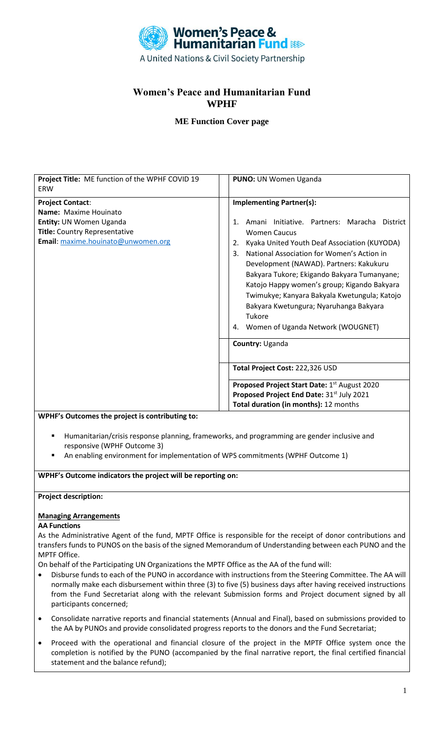

## **Women's Peace and Humanitarian Fund WPHF**

## **ME Function Cover page**

| Project Title: ME function of the WPHF COVID 19<br><b>ERW</b>                                                                                      | PUNO: UN Women Uganda                                                                                                                                                                                                                                                                                                                                                                                                                                                                                                       |  |
|----------------------------------------------------------------------------------------------------------------------------------------------------|-----------------------------------------------------------------------------------------------------------------------------------------------------------------------------------------------------------------------------------------------------------------------------------------------------------------------------------------------------------------------------------------------------------------------------------------------------------------------------------------------------------------------------|--|
| <b>Project Contact:</b><br>Name: Maxime Houinato<br>Entity: UN Women Uganda<br>Title: Country Representative<br>Email: maxime.houinato@unwomen.org | <b>Implementing Partner(s):</b><br>Initiative. Partners: Maracha<br>Amani<br><b>District</b><br>1.<br><b>Women Caucus</b><br>Kyaka United Youth Deaf Association (KUYODA)<br>2.<br>National Association for Women's Action in<br>3.<br>Development (NAWAD). Partners: Kakukuru<br>Bakyara Tukore; Ekigando Bakyara Tumanyane;<br>Katojo Happy women's group; Kigando Bakyara<br>Twimukye; Kanyara Bakyala Kwetungula; Katojo<br>Bakyara Kwetungura; Nyaruhanga Bakyara<br>Tukore<br>Women of Uganda Network (WOUGNET)<br>4. |  |
|                                                                                                                                                    | Country: Uganda<br>Total Project Cost: 222,326 USD<br>Proposed Project Start Date: 1 <sup>st</sup> August 2020<br>Proposed Project End Date: 31st July 2021<br>Total duration (in months): 12 months                                                                                                                                                                                                                                                                                                                        |  |
|                                                                                                                                                    |                                                                                                                                                                                                                                                                                                                                                                                                                                                                                                                             |  |
|                                                                                                                                                    |                                                                                                                                                                                                                                                                                                                                                                                                                                                                                                                             |  |
|                                                                                                                                                    |                                                                                                                                                                                                                                                                                                                                                                                                                                                                                                                             |  |
|                                                                                                                                                    |                                                                                                                                                                                                                                                                                                                                                                                                                                                                                                                             |  |
| WPHF's Outcomes the project is contributing to:                                                                                                    |                                                                                                                                                                                                                                                                                                                                                                                                                                                                                                                             |  |

- Humanitarian/crisis response planning, frameworks, and programming are gender inclusive and responsive (WPHF Outcome 3)
- An enabling environment for implementation of WPS commitments (WPHF Outcome 1)

**WPHF's Outcome indicators the project will be reporting on:** 

#### **Project description:**

# **Managing Arrangements**

#### **AA Functions**

As the Administrative Agent of the fund, MPTF Office is responsible for the receipt of donor contributions and transfers funds to PUNOS on the basis of the signed Memorandum of Understanding between each PUNO and the MPTF Office.

On behalf of the Participating UN Organizations the MPTF Office as the AA of the fund will:

- Disburse funds to each of the PUNO in accordance with instructions from the Steering Committee. The AA will normally make each disbursement within three (3) to five (5) business days after having received instructions from the Fund Secretariat along with the relevant Submission forms and Project document signed by all participants concerned;
- Consolidate narrative reports and financial statements (Annual and Final), based on submissions provided to the AA by PUNOs and provide consolidated progress reports to the donors and the Fund Secretariat;
- Proceed with the operational and financial closure of the project in the MPTF Office system once the completion is notified by the PUNO (accompanied by the final narrative report, the final certified financial statement and the balance refund);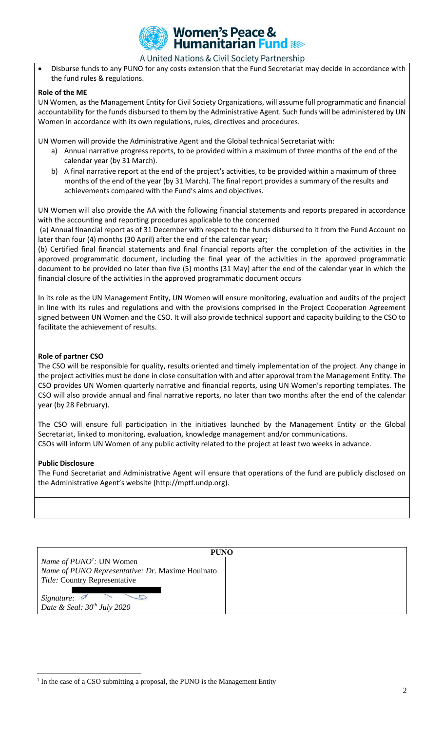

### **Women's Peace & Humanitarian Fund &**

A United Nations & Civil Society Partnership

• Disburse funds to any PUNO for any costs extension that the Fund Secretariat may decide in accordance with the fund rules & regulations.

#### **Role of the ME**

UN Women, as the Management Entity for Civil Society Organizations, will assume full programmatic and financial accountability for the funds disbursed to them by the Administrative Agent. Such funds will be administered by UN Women in accordance with its own regulations, rules, directives and procedures.

UN Women will provide the Administrative Agent and the Global technical Secretariat with:

- a) Annual narrative progress reports, to be provided within a maximum of three months of the end of the calendar year (by 31 March).
- b) A final narrative report at the end of the project's activities, to be provided within a maximum of three months of the end of the year (by 31 March). The final report provides a summary of the results and achievements compared with the Fund's aims and objectives.

UN Women will also provide the AA with the following financial statements and reports prepared in accordance with the accounting and reporting procedures applicable to the concerned

(a) Annual financial report as of 31 December with respect to the funds disbursed to it from the Fund Account no later than four (4) months (30 April) after the end of the calendar year;

(b) Certified final financial statements and final financial reports after the completion of the activities in the approved programmatic document, including the final year of the activities in the approved programmatic document to be provided no later than five (5) months (31 May) after the end of the calendar year in which the financial closure of the activities in the approved programmatic document occurs

In its role as the UN Management Entity, UN Women will ensure monitoring, evaluation and audits of the project in line with its rules and regulations and with the provisions comprised in the Project Cooperation Agreement signed between UN Women and the CSO. It will also provide technical support and capacity building to the CSO to facilitate the achievement of results.

#### **Role of partner CSO**

The CSO will be responsible for quality, results oriented and timely implementation of the project. Any change in the project activities must be done in close consultation with and after approval from the Management Entity. The CSO provides UN Women quarterly narrative and financial reports, using UN Women's reporting templates. The CSO will also provide annual and final narrative reports, no later than two months after the end of the calendar year (by 28 February).

The CSO will ensure full participation in the initiatives launched by the Management Entity or the Global Secretariat, linked to monitoring, evaluation, knowledge management and/or communications. CSOs will inform UN Women of any public activity related to the project at least two weeks in advance.

#### **Public Disclosure**

The Fund Secretariat and Administrative Agent will ensure that operations of the fund are publicly disclosed on the Administrative Agent's website (http://mptf.undp.org).

| <b>PUNO</b>                                      |  |  |
|--------------------------------------------------|--|--|
| <i>Name of <math>PUNO1</math>:</i> UN Women      |  |  |
| Name of PUNO Representative: Dr. Maxime Houinato |  |  |
| Title: Country Representative                    |  |  |
| Signature:<br>Date & Seal: $30^{th}$ July 2020   |  |  |

<sup>&</sup>lt;sup>1</sup> In the case of a CSO submitting a proposal, the PUNO is the Management Entity